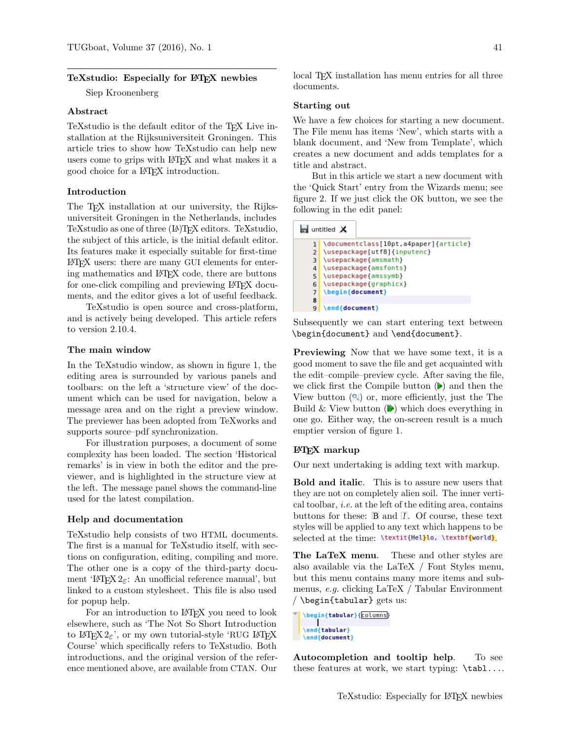## TeXstudio: Especially for LATEX newbies

Siep Kroonenberg

### Abstract

TeXstudio is the default editor of the T<sub>EX</sub> Live installation at the Rijksuniversiteit Groningen. This article tries to show how TeXstudio can help new users come to grips with LATEX and what makes it a good choice for a LATEX introduction.

#### Introduction

The T<sub>EX</sub> installation at our university, the Rijksuniversiteit Groningen in the Netherlands, includes TeXstudio as one of three (LA)T<sub>F</sub>X editors. TeXstudio, the subject of this article, is the initial default editor. Its features make it especially suitable for first-time LATEX users: there are many GUI elements for entering mathematics and LATEX code, there are buttons for one-click compiling and previewing LAT<sub>EX</sub> documents, and the editor gives a lot of useful feedback.

TeXstudio is open source and cross-platform, and is actively being developed. This article refers to version 2.10.4.

### The main window

In the TeXstudio window, as shown in figure 1, the editing area is surrounded by various panels and toolbars: on the left a 'structure view' of the document which can be used for navigation, below a message area and on the right a preview window. The previewer has been adopted from TeXworks and supports source–pdf synchronization.

For illustration purposes, a document of some complexity has been loaded. The section 'Historical remarks' is in view in both the editor and the previewer, and is highlighted in the structure view at the left. The message panel shows the command-line used for the latest compilation.

### Help and documentation

TeXstudio help consists of two HTML documents. The first is a manual for TeXstudio itself, with sections on configuration, editing, compiling and more. The other one is a copy of the third-party document 'L<sup>T</sup>FX 2<sub>ε</sub>: An unofficial reference manual', but linked to a custom stylesheet. This file is also used for popup help.

For an introduction to LAT<sub>EX</sub> you need to look elsewhere, such as 'The Not So Short Introduction to LATEX  $2\varepsilon$ ', or my own tutorial-style 'RUG LATEX Course' which specifically refers to TeXstudio. Both introductions, and the original version of the reference mentioned above, are available from CTAN. Our local T<sub>EX</sub> installation has menu entries for all three documents.

#### Starting out

We have a few choices for starting a new document. The File menu has items 'New', which starts with a blank document, and 'New from Template', which creates a new document and adds templates for a title and abstract.

But in this article we start a new document with the 'Quick Start' entry from the Wizards menu; see figure 2. If we just click the OK button, we see the following in the edit panel:

|   | untitled $\times$                     |
|---|---------------------------------------|
|   | \documentclass[10pt,a4paper]{article} |
|   | \usepackage[utf8]{inputenc}           |
| 3 | \usepackage{amsmath}                  |
| 4 | \usepackage{amsfonts}                 |
| 5 | \usepackage{amssymb}                  |
| 6 | \usepackage{graphicx}                 |
| 7 | \begin{document}                      |
| 8 |                                       |
| 9 | \end{document}                        |

Subsequently we can start entering text between \begin{document} and \end{document}.

Previewing Now that we have some text, it is a good moment to save the file and get acquainted with the edit–compile–preview cycle. After saving the file, we click first the Compile button  $(\triangleright)$  and then the View button  $(\mathbb{N})$  or, more efficiently, just the The Build & View button  $(\triangleright)$  which does everything in one go. Either way, the on-screen result is a much emptier version of figure 1.

### LATEX markup

Our next undertaking is adding text with markup.

Bold and italic. This is to assure new users that they are not on completely alien soil. The inner vertical toolbar, i.e. at the left of the editing area, contains buttons for these:  $\mathbb B$  and  $\mathbb I$ . Of course, these text styles will be applied to any text which happens to be selected at the time: \textit{Hel}lo, \textbf{world}

The LaTeX menu. These and other styles are also available via the LaTeX / Font Styles menu, but this menu contains many more items and submenus, e.g. clicking LaTeX / Tabular Environment / \begin{tabular} gets us:

Autocompletion and tooltip help. To see these features at work, we start typing: \tabl....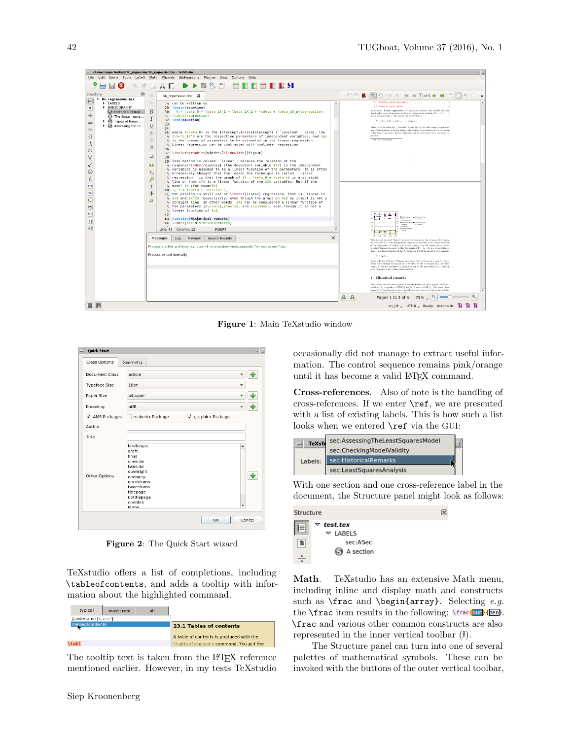

Figure 1: Main TeXstudio window

| <b>Quick Start</b>   |                                                                                                                                                                                 |        |
|----------------------|---------------------------------------------------------------------------------------------------------------------------------------------------------------------------------|--------|
| <b>Class Options</b> | Geometry                                                                                                                                                                        |        |
| Document Class       | article                                                                                                                                                                         |        |
| <b>Typeface Size</b> | 10pt                                                                                                                                                                            |        |
| Paper Size           | a4paper                                                                                                                                                                         |        |
| Encoding             | utf8                                                                                                                                                                            |        |
| √ AMS Packages       | √ graphicx Package<br>makeidx Package                                                                                                                                           |        |
| Author               |                                                                                                                                                                                 |        |
| Title                |                                                                                                                                                                                 |        |
| Other Options        | landscape<br>draft<br>final<br>oneside<br>twoside<br>openright<br>openany<br>onecolumn<br>twocolumn<br>titlepage<br>notitlepage<br>openbib<br>$\overline{\phantom{a}}$<br>legno |        |
|                      | OK                                                                                                                                                                              | Cancel |

Figure 2: The Quick Start wizard

TeXstudio offers a list of completions, including \tableofcontents, and adds a tooltip with information about the highlighted command.

| typical          | most used | all |                                                                     |
|------------------|-----------|-----|---------------------------------------------------------------------|
| \tablename{name} |           |     |                                                                     |
| bleofcontents    |           |     | 23.1 Tables of contents<br>A table of contents is produced with the |
| \tabl            |           |     | \tableofcontents command. You put the                               |

The tooltip text is taken from the LAT<sub>EX</sub> reference mentioned earlier. However, in my tests TeXstudio

occasionally did not manage to extract useful information. The control sequence remains pink/orange until it has become a valid LATEX command.

Cross-references. Also of note is the handling of cross-references. If we enter \ref, we are presented with a list of existing labels. This is how such a list looks when we entered **\ref** via the GUI:



With one section and one cross-reference label in the document, the Structure panel might look as follows:



Math. TeXstudio has an extensive Math menu, including inline and display math and constructs such as  $\frac{and \begin{array}{c}. Selecting e.g. \end{array}}{e.g.}$ the  $\frac{f_{num}}{f_{num}}$  (den). \frac and various other common constructs are also represented in the inner vertical toolbar  $(\mathbf{F})$ .

The Structure panel can turn into one of several palettes of mathematical symbols. These can be invoked with the buttons of the outer vertical toolbar,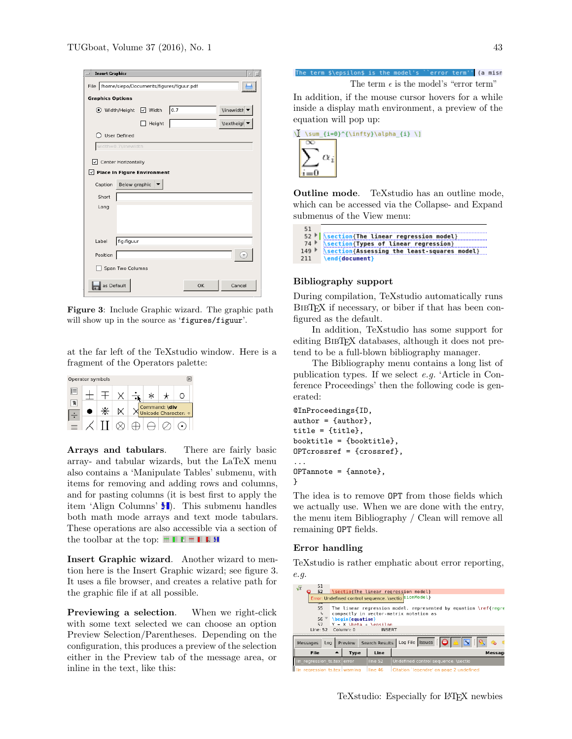| <b>Insert Graphics</b>                        |
|-----------------------------------------------|
| File /home/siepo/Documents/figures/figuur.pdf |
| <b>Graphics Options</b>                       |
| \linewidth<br>0.7<br>● Width/Height V Width   |
| \textheigl ▼<br>Height                        |
| ○ User Defined                                |
| width=0.7\linewidth                           |
| $\sqrt{}$ Center Horizontally                 |
| $\vee$ Place in Figure Environment            |
| Below graphic<br>Caption                      |
| Short                                         |
| Long                                          |
|                                               |
|                                               |
| fig:figuur<br>Label                           |
| Position                                      |
| Span Two Columns                              |
| as Default<br>Cancel<br>OK                    |

Figure 3: Include Graphic wizard. The graphic path will show up in the source as 'figures/figuur'.

at the far left of the TeXstudio window. Here is a fragment of the Operators palette:

|   | Operator symbols |  |  |                                              |
|---|------------------|--|--|----------------------------------------------|
| ⊫ |                  |  |  |                                              |
|   |                  |  |  |                                              |
|   |                  |  |  | Command: <b>\div</b><br>Unicode Character: ÷ |

Arrays and tabulars. There are fairly basic array- and tabular wizards, but the LaTeX menu also contains a 'Manipulate Tables' submenu, with items for removing and adding rows and columns, and for pasting columns (it is best first to apply the item 'Align Columns'  $\bullet$ . This submenu handles both math mode arrays and text mode tabulars. These operations are also accessible via a section of the toolbar at the top:  $\blacksquare \blacksquare \blacksquare \blacksquare \blacksquare \blacksquare \blacksquare \blacksquare$ 

Insert Graphic wizard. Another wizard to mention here is the Insert Graphic wizard; see figure 3. It uses a file browser, and creates a relative path for the graphic file if at all possible.

**Previewing a selection.** When we right-click with some text selected we can choose an option Preview Selection/Parentheses. Depending on the configuration, this produces a preview of the selection either in the Preview tab of the message area, or inline in the text, like this:



| \sum {i=0}^{\infty}\alpha_{i} \] |  |
|----------------------------------|--|
|                                  |  |
|                                  |  |
|                                  |  |

Outline mode. TeXstudio has an outline mode, which can be accessed via the Collapse- and Expand submenus of the View menu:

|     | 52   <i>Section</i> {The linear regression model} |
|-----|---------------------------------------------------|
|     | 74 Section (Types of linear regression)           |
|     | 149 Section{Assessing the least-squares model}    |
| 211 | \end{document}                                    |
|     |                                                   |

## Bibliography support

 $E1$ 

During compilation, TeXstudio automatically runs BIBT<sub>EX</sub> if necessary, or biber if that has been configured as the default.

In addition, TeXstudio has some support for editing BibTEX databases, although it does not pretend to be a full-blown bibliography manager.

The Bibliography menu contains a long list of publication types. If we select e.g. 'Article in Conference Proceedings' then the following code is generated:

```
@InProceedings{ID,
author = {author},
title = {title},
booktitle = {booktitle},
OPTcrossref = {crossref},
...
OPTannote = {annote},
}
```
The idea is to remove OPT from those fields which we actually use. When we are done with the entry, the menu item Bibliography / Clean will remove all remaining OPT fields.

## Error handling

TeXstudio is rather emphatic about error reporting, e.g.